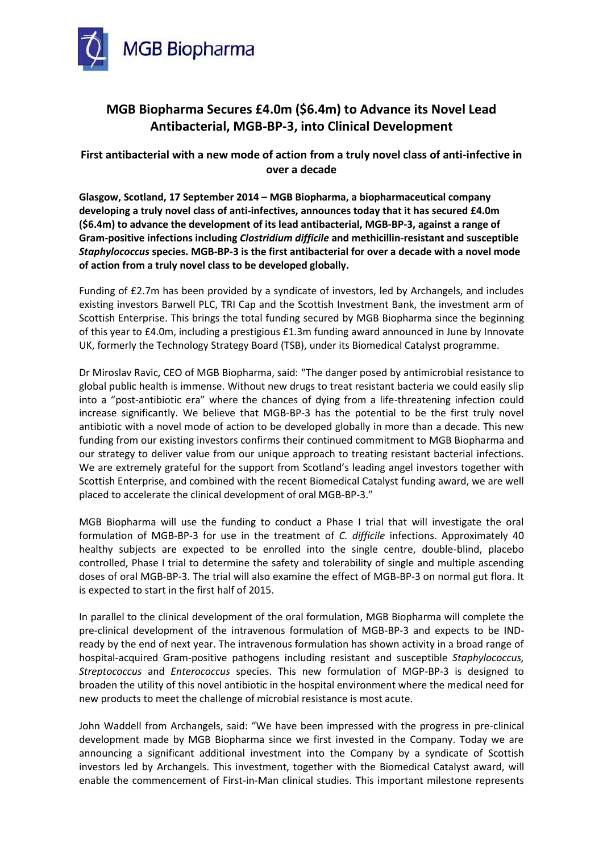

# **MGB Biopharma Secures £4.0m (\$6.4m) to Advance its Novel Lead Antibacterial, MGB-BP-3, into Clinical Development**

# **First antibacterial with a new mode of action from a truly novel class of anti-infective in over a decade**

**Glasgow, Scotland, 17 September 2014 – MGB Biopharma, a biopharmaceutical company developing a truly novel class of anti-infectives, announces today that it has secured £4.0m (\$6.4m) to advance the development of its lead antibacterial, MGB-BP-3, against a range of Gram-positive infections including** *Clostridium difficile* **and methicillin-resistant and susceptible**  *Staphylococcus* **species. MGB-BP-3 is the first antibacterial for over a decade with a novel mode of action from a truly novel class to be developed globally.** 

Funding of £2.7m has been provided by a syndicate of investors, led by Archangels, and includes existing investors Barwell PLC, TRI Cap and the Scottish Investment Bank, the investment arm of Scottish Enterprise. This brings the total funding secured by MGB Biopharma since the beginning of this year to £4.0m, including a prestigious £1.3m funding award announced in June by Innovate UK, formerly the Technology Strategy Board (TSB), under its Biomedical Catalyst programme.

Dr Miroslav Ravic, CEO of MGB Biopharma, said: "The danger posed by antimicrobial resistance to global public health is immense. Without new drugs to treat resistant bacteria we could easily slip into a "post-antibiotic era" where the chances of dying from a life-threatening infection could increase significantly. We believe that MGB-BP-3 has the potential to be the first truly novel antibiotic with a novel mode of action to be developed globally in more than a decade. This new funding from our existing investors confirms their continued commitment to MGB Biopharma and our strategy to deliver value from our unique approach to treating resistant bacterial infections. We are extremely grateful for the support from Scotland's leading angel investors together with Scottish Enterprise, and combined with the recent Biomedical Catalyst funding award, we are well placed to accelerate the clinical development of oral MGB-BP-3."

MGB Biopharma will use the funding to conduct a Phase I trial that will investigate the oral formulation of MGB-BP-3 for use in the treatment of *C. difficile* infections. Approximately 40 healthy subjects are expected to be enrolled into the single centre, double-blind, placebo controlled, Phase I trial to determine the safety and tolerability of single and multiple ascending doses of oral MGB-BP-3. The trial will also examine the effect of MGB-BP-3 on normal gut flora. It is expected to start in the first half of 2015.

In parallel to the clinical development of the oral formulation, MGB Biopharma will complete the pre-clinical development of the intravenous formulation of MGB-BP-3 and expects to be INDready by the end of next year. The intravenous formulation has shown activity in a broad range of hospital-acquired Gram-positive pathogens including resistant and susceptible *Staphylococcus, Streptococcus* and *Enterococcus* species. This new formulation of MGP-BP-3 is designed to broaden the utility of this novel antibiotic in the hospital environment where the medical need for new products to meet the challenge of microbial resistance is most acute.

John Waddell from Archangels, said: "We have been impressed with the progress in pre-clinical development made by MGB Biopharma since we first invested in the Company. Today we are announcing a significant additional investment into the Company by a syndicate of Scottish investors led by Archangels. This investment, together with the Biomedical Catalyst award, will enable the commencement of First-in-Man clinical studies. This important milestone represents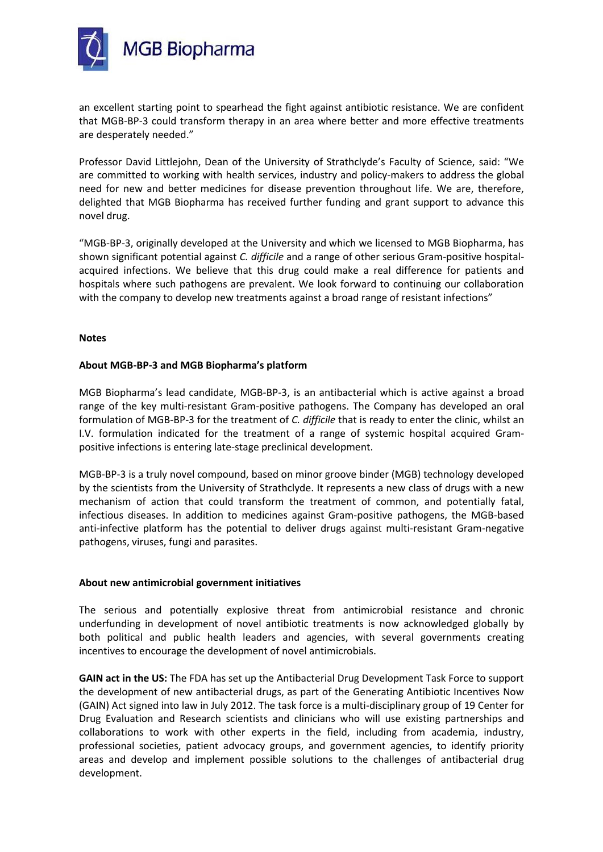

an excellent starting point to spearhead the fight against antibiotic resistance. We are confident that MGB-BP-3 could transform therapy in an area where better and more effective treatments are desperately needed."

Professor David Littlejohn, Dean of the University of Strathclyde's Faculty of Science, said: "We are committed to working with health services, industry and policy-makers to address the global need for new and better medicines for disease prevention throughout life. We are, therefore, delighted that MGB Biopharma has received further funding and grant support to advance this novel drug.

"MGB-BP-3, originally developed at the University and which we licensed to MGB Biopharma, has shown significant potential against *C. difficile* and a range of other serious Gram-positive hospitalacquired infections. We believe that this drug could make a real difference for patients and hospitals where such pathogens are prevalent. We look forward to continuing our collaboration with the company to develop new treatments against a broad range of resistant infections"

#### **Notes**

# **About MGB-BP-3 and MGB Biopharma's platform**

MGB Biopharma's lead candidate, MGB-BP-3, is an antibacterial which is active against a broad range of the key multi-resistant Gram-positive pathogens. The Company has developed an oral formulation of MGB-BP-3 for the treatment of *C. difficile* that is ready to enter the clinic, whilst an I.V. formulation indicated for the treatment of a range of systemic hospital acquired Grampositive infections is entering late-stage preclinical development.

MGB-BP-3 is a truly novel compound, based on minor groove binder (MGB) technology developed by the scientists from the University of Strathclyde. It represents a new class of drugs with a new mechanism of action that could transform the treatment of common, and potentially fatal, infectious diseases. In addition to medicines against Gram-positive pathogens, the MGB-based anti-infective platform has the potential to deliver drugs against multi-resistant Gram-negative pathogens, viruses, fungi and parasites.

#### **About new antimicrobial government initiatives**

The serious and potentially explosive threat from antimicrobial resistance and chronic underfunding in development of novel antibiotic treatments is now acknowledged globally by both political and public health leaders and agencies, with several governments creating incentives to encourage the development of novel antimicrobials.

**GAIN act in the US:** The FDA has set up the Antibacterial Drug Development Task Force to support the development of new antibacterial drugs, as part of the Generating Antibiotic Incentives Now (GAIN) Act signed into law in July 2012. The task force is a multi-disciplinary group of 19 Center for Drug Evaluation and Research scientists and clinicians who will use existing partnerships and collaborations to work with other experts in the field, including from academia, industry, professional societies, patient advocacy groups, and government agencies, to identify priority areas and develop and implement possible solutions to the challenges of antibacterial drug development.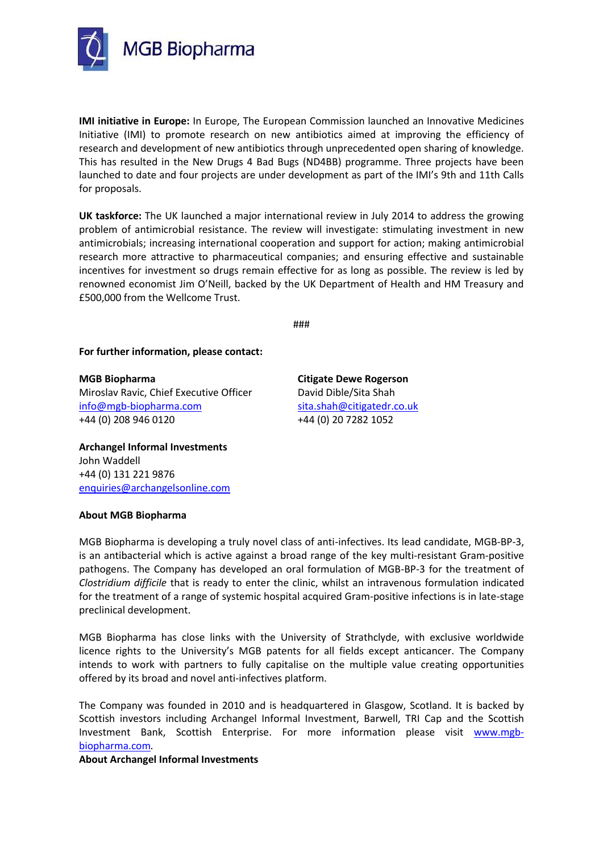

**IMI initiative in Europe:** In Europe, The European Commission launched an Innovative Medicines Initiative (IMI) to promote research on new antibiotics aimed at improving the efficiency of research and development of new antibiotics through unprecedented open sharing of knowledge. This has resulted in the New Drugs 4 Bad Bugs (ND4BB) programme. Three projects have been launched to date and four projects are under development as part of the IMI's 9th and 11th Calls for proposals.

**UK taskforce:** The UK launched a major international review in July 2014 to address the growing problem of antimicrobial resistance. The review will investigate: stimulating investment in new antimicrobials; increasing international cooperation and support for action; making antimicrobial research more attractive to pharmaceutical companies; and ensuring effective and sustainable incentives for investment so drugs remain effective for as long as possible. The review is led by renowned economist Jim O'Neill, backed by the UK Department of Health and HM Treasury and £500,000 from the Wellcome Trust.

###

#### **For further information, please contact:**

**MGB Biopharma Citigate Dewe Rogerson** Miroslav Ravic, Chief Executive Officer David Dible/Sita Shah [info@mgb-biopharma.com](mailto:info@mgb-biopharma.com) [sita.shah@citigatedr.co.uk](mailto:sita.shah@citigatedr.co.uk) +44 (0) 208 946 0120 +44 (0) 20 7282 1052

**Archangel Informal Investments** John Waddell +44 (0) 131 221 9876 [enquiries@archangelsonline.com](mailto:enquiries@archangelsonline.com)

#### **About MGB Biopharma**

MGB Biopharma is developing a truly novel class of anti-infectives. Its lead candidate, MGB-BP-3, is an antibacterial which is active against a broad range of the key multi-resistant Gram-positive pathogens. The Company has developed an oral formulation of MGB-BP-3 for the treatment of *Clostridium difficile* that is ready to enter the clinic, whilst an intravenous formulation indicated for the treatment of a range of systemic hospital acquired Gram-positive infections is in late-stage preclinical development.

MGB Biopharma has close links with the University of Strathclyde, with exclusive worldwide licence rights to the University's MGB patents for all fields except anticancer. The Company intends to work with partners to fully capitalise on the multiple value creating opportunities offered by its broad and novel anti-infectives platform.

The Company was founded in 2010 and is headquartered in Glasgow, Scotland. It is backed by Scottish investors including Archangel Informal Investment, Barwell, TRI Cap and the Scottish Investment Bank, Scottish Enterprise. For more information please visit [www.mgb](http://www.mgb-biopharma.com/)[biopharma.com](http://www.mgb-biopharma.com/)*.*

**About Archangel Informal Investments**